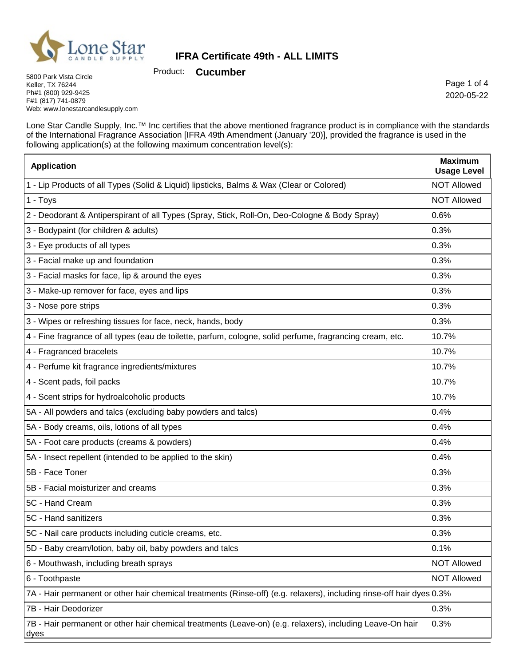

Product: **Cucumber**

5800 Park Vista Circle Keller, TX 76244 Ph#1 (800) 929-9425 F#1 (817) 741-0879 Web: www.lonestarcandlesupply.com

Page 1 of 4 2020-05-22

Lone Star Candle Supply, Inc.™ Inc certifies that the above mentioned fragrance product is in compliance with the standards of the International Fragrance Association [IFRA 49th Amendment (January '20)], provided the fragrance is used in the following application(s) at the following maximum concentration level(s):

| <b>Application</b>                                                                                                    | <b>Maximum</b><br><b>Usage Level</b> |
|-----------------------------------------------------------------------------------------------------------------------|--------------------------------------|
| 1 - Lip Products of all Types (Solid & Liquid) lipsticks, Balms & Wax (Clear or Colored)                              | <b>NOT Allowed</b>                   |
| 1 - Toys                                                                                                              | <b>NOT Allowed</b>                   |
| 2 - Deodorant & Antiperspirant of all Types (Spray, Stick, Roll-On, Deo-Cologne & Body Spray)                         | 0.6%                                 |
| 3 - Bodypaint (for children & adults)                                                                                 | 0.3%                                 |
| 3 - Eye products of all types                                                                                         | 0.3%                                 |
| 3 - Facial make up and foundation                                                                                     | 0.3%                                 |
| 3 - Facial masks for face, lip & around the eyes                                                                      | 0.3%                                 |
| 3 - Make-up remover for face, eyes and lips                                                                           | 0.3%                                 |
| 3 - Nose pore strips                                                                                                  | 0.3%                                 |
| 3 - Wipes or refreshing tissues for face, neck, hands, body                                                           | 0.3%                                 |
| 4 - Fine fragrance of all types (eau de toilette, parfum, cologne, solid perfume, fragrancing cream, etc.             | 10.7%                                |
| 4 - Fragranced bracelets                                                                                              | 10.7%                                |
| 4 - Perfume kit fragrance ingredients/mixtures                                                                        | 10.7%                                |
| 4 - Scent pads, foil packs                                                                                            | 10.7%                                |
| 4 - Scent strips for hydroalcoholic products                                                                          | 10.7%                                |
| 5A - All powders and talcs (excluding baby powders and talcs)                                                         | 0.4%                                 |
| 5A - Body creams, oils, lotions of all types                                                                          | 0.4%                                 |
| 5A - Foot care products (creams & powders)                                                                            | 0.4%                                 |
| 5A - Insect repellent (intended to be applied to the skin)                                                            | 0.4%                                 |
| 5B - Face Toner                                                                                                       | 0.3%                                 |
| 5B - Facial moisturizer and creams                                                                                    | 0.3%                                 |
| 5C - Hand Cream                                                                                                       | 0.3%                                 |
| 5C - Hand sanitizers                                                                                                  | 0.3%                                 |
| 5C - Nail care products including cuticle creams, etc.                                                                | 0.3%                                 |
| 5D - Baby cream/lotion, baby oil, baby powders and talcs                                                              | 0.1%                                 |
| 6 - Mouthwash, including breath sprays                                                                                | <b>NOT Allowed</b>                   |
| 6 - Toothpaste                                                                                                        | <b>NOT Allowed</b>                   |
| 7A - Hair permanent or other hair chemical treatments (Rinse-off) (e.g. relaxers), including rinse-off hair dyes 0.3% |                                      |
| 7B - Hair Deodorizer                                                                                                  | 0.3%                                 |
| 7B - Hair permanent or other hair chemical treatments (Leave-on) (e.g. relaxers), including Leave-On hair<br>dyes     | 0.3%                                 |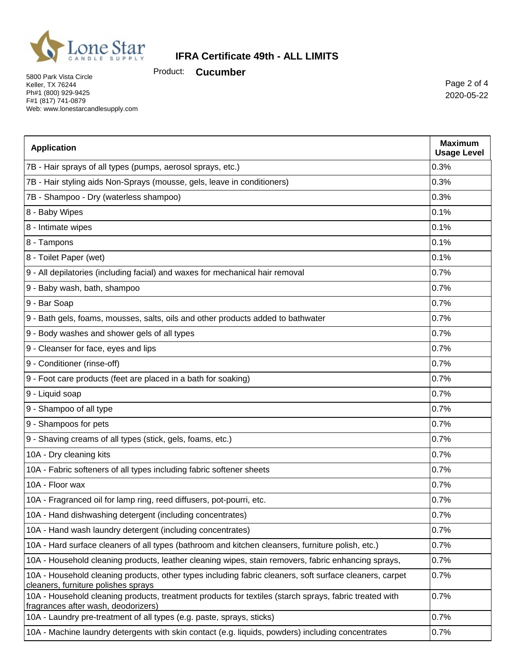

Product: **Cucumber**

5800 Park Vista Circle Keller, TX 76244 Ph#1 (800) 929-9425 F#1 (817) 741-0879 Web: www.lonestarcandlesupply.com

Page 2 of 4 2020-05-22

| <b>Application</b>                                                                                                                             | <b>Maximum</b><br><b>Usage Level</b> |
|------------------------------------------------------------------------------------------------------------------------------------------------|--------------------------------------|
| 7B - Hair sprays of all types (pumps, aerosol sprays, etc.)                                                                                    | 0.3%                                 |
| 7B - Hair styling aids Non-Sprays (mousse, gels, leave in conditioners)                                                                        | 0.3%                                 |
| 7B - Shampoo - Dry (waterless shampoo)                                                                                                         | 0.3%                                 |
| 8 - Baby Wipes                                                                                                                                 | 0.1%                                 |
| 8 - Intimate wipes                                                                                                                             | 0.1%                                 |
| 8 - Tampons                                                                                                                                    | 0.1%                                 |
| 8 - Toilet Paper (wet)                                                                                                                         | 0.1%                                 |
| 9 - All depilatories (including facial) and waxes for mechanical hair removal                                                                  | 0.7%                                 |
| 9 - Baby wash, bath, shampoo                                                                                                                   | 0.7%                                 |
| 9 - Bar Soap                                                                                                                                   | 0.7%                                 |
| 9 - Bath gels, foams, mousses, salts, oils and other products added to bathwater                                                               | 0.7%                                 |
| 9 - Body washes and shower gels of all types                                                                                                   | 0.7%                                 |
| 9 - Cleanser for face, eyes and lips                                                                                                           | 0.7%                                 |
| 9 - Conditioner (rinse-off)                                                                                                                    | 0.7%                                 |
| 9 - Foot care products (feet are placed in a bath for soaking)                                                                                 | 0.7%                                 |
| 9 - Liquid soap                                                                                                                                | 0.7%                                 |
| 9 - Shampoo of all type                                                                                                                        | 0.7%                                 |
| 9 - Shampoos for pets                                                                                                                          | 0.7%                                 |
| 9 - Shaving creams of all types (stick, gels, foams, etc.)                                                                                     | 0.7%                                 |
| 10A - Dry cleaning kits                                                                                                                        | 0.7%                                 |
| 10A - Fabric softeners of all types including fabric softener sheets                                                                           | 0.7%                                 |
| 10A - Floor wax                                                                                                                                | 0.7%                                 |
| 10A - Fragranced oil for lamp ring, reed diffusers, pot-pourri, etc.                                                                           | 0.7%                                 |
| 10A - Hand dishwashing detergent (including concentrates)                                                                                      | 0.7%                                 |
| 10A - Hand wash laundry detergent (including concentrates)                                                                                     | 0.7%                                 |
| 10A - Hard surface cleaners of all types (bathroom and kitchen cleansers, furniture polish, etc.)                                              | 0.7%                                 |
| 10A - Household cleaning products, leather cleaning wipes, stain removers, fabric enhancing sprays,                                            | 0.7%                                 |
| 10A - Household cleaning products, other types including fabric cleaners, soft surface cleaners, carpet<br>cleaners, furniture polishes sprays | 0.7%                                 |
| 10A - Household cleaning products, treatment products for textiles (starch sprays, fabric treated with<br>fragrances after wash, deodorizers)  | 0.7%                                 |
| 10A - Laundry pre-treatment of all types (e.g. paste, sprays, sticks)                                                                          | 0.7%                                 |
| 10A - Machine laundry detergents with skin contact (e.g. liquids, powders) including concentrates                                              | 0.7%                                 |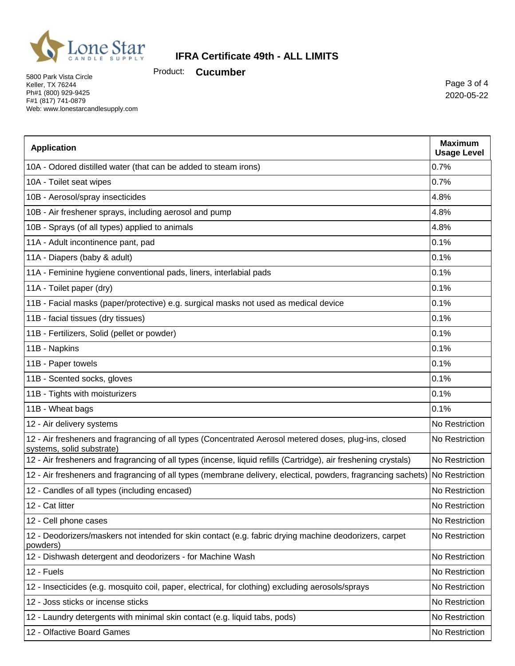

Product: **Cucumber**

5800 Park Vista Circle Keller, TX 76244 Ph#1 (800) 929-9425 F#1 (817) 741-0879 Web: www.lonestarcandlesupply.com

Page 3 of 4 2020-05-22

| <b>Application</b>                                                                                                                  | <b>Maximum</b><br><b>Usage Level</b> |
|-------------------------------------------------------------------------------------------------------------------------------------|--------------------------------------|
| 10A - Odored distilled water (that can be added to steam irons)                                                                     | 0.7%                                 |
| 10A - Toilet seat wipes                                                                                                             | 0.7%                                 |
| 10B - Aerosol/spray insecticides                                                                                                    | 4.8%                                 |
| 10B - Air freshener sprays, including aerosol and pump                                                                              | 4.8%                                 |
| 10B - Sprays (of all types) applied to animals                                                                                      | 4.8%                                 |
| 11A - Adult incontinence pant, pad                                                                                                  | 0.1%                                 |
| 11A - Diapers (baby & adult)                                                                                                        | 0.1%                                 |
| 11A - Feminine hygiene conventional pads, liners, interlabial pads                                                                  | 0.1%                                 |
| 11A - Toilet paper (dry)                                                                                                            | 0.1%                                 |
| 11B - Facial masks (paper/protective) e.g. surgical masks not used as medical device                                                | 0.1%                                 |
| 11B - facial tissues (dry tissues)                                                                                                  | 0.1%                                 |
| 11B - Fertilizers, Solid (pellet or powder)                                                                                         | 0.1%                                 |
| 11B - Napkins                                                                                                                       | 0.1%                                 |
| 11B - Paper towels                                                                                                                  | 0.1%                                 |
| 11B - Scented socks, gloves                                                                                                         | 0.1%                                 |
| 11B - Tights with moisturizers                                                                                                      | 0.1%                                 |
| 11B - Wheat bags                                                                                                                    | 0.1%                                 |
| 12 - Air delivery systems                                                                                                           | No Restriction                       |
| 12 - Air fresheners and fragrancing of all types (Concentrated Aerosol metered doses, plug-ins, closed<br>systems, solid substrate) | No Restriction                       |
| 12 - Air fresheners and fragrancing of all types (incense, liquid refills (Cartridge), air freshening crystals)                     | No Restriction                       |
| 12 - Air fresheners and fragrancing of all types (membrane delivery, electical, powders, fragrancing sachets) No Restriction        |                                      |
| 12 - Candles of all types (including encased)                                                                                       | No Restriction                       |
| 12 - Cat litter                                                                                                                     | No Restriction                       |
| 12 - Cell phone cases                                                                                                               | No Restriction                       |
| 12 - Deodorizers/maskers not intended for skin contact (e.g. fabric drying machine deodorizers, carpet<br>powders)                  | No Restriction                       |
| 12 - Dishwash detergent and deodorizers - for Machine Wash                                                                          | No Restriction                       |
| 12 - Fuels                                                                                                                          | No Restriction                       |
| 12 - Insecticides (e.g. mosquito coil, paper, electrical, for clothing) excluding aerosols/sprays                                   | No Restriction                       |
| 12 - Joss sticks or incense sticks                                                                                                  | No Restriction                       |
| 12 - Laundry detergents with minimal skin contact (e.g. liquid tabs, pods)                                                          | No Restriction                       |
| 12 - Olfactive Board Games                                                                                                          | No Restriction                       |